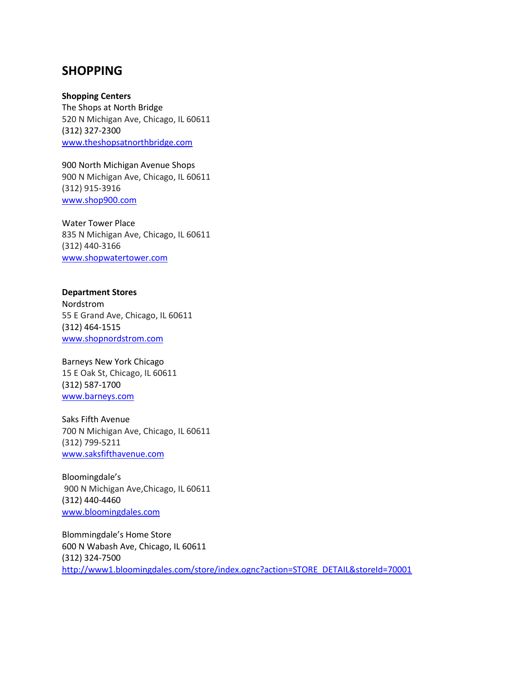## **SHOPPING**

**Shopping Centers** The Shops at North Bridge 520 N Michigan Ave, Chicago, IL 60611 (312) 327-2300 [www.theshopsatnorthbridge.com](http://www.theshopsatnorthbridge.com/)

900 North Michigan Avenue Shops 900 N Michigan Ave, Chicago, IL 60611 (312) 915-3916 [www.shop900.com](http://www.shop900.com/)

Water Tower Place 835 N Michigan Ave, Chicago, IL 60611 (312) 440-3166 [www.shopwatertower.com](http://www.shopwatertower.com/)

## **Department Stores**

Nordstrom 55 E Grand Ave, Chicago, IL 60611 (312) 464-1515 [www.shopnordstrom.com](http://www.shopnordstrom.com/)

Barneys New York Chicago 15 E Oak St, Chicago, IL 60611 (312) 587-1700 [www.barneys.com](http://www.barneys.com/)

Saks Fifth Avenue 700 N Michigan Ave, Chicago, IL 60611 (312) 799-5211 [www.saksfifthavenue.com](http://www.saksfifthavenue.com/)

Bloomingdale's 900 N Michigan Ave,Chicago, IL 60611 (312) 440-4460 [www.bloomingdales.com](http://www.bloomingdales.com/)

Blommingdale's Home Store 600 N Wabash Ave, Chicago, IL 60611 (312) 324-7500 [http://www1.bloomingdales.com/store/index.ognc?action=STORE\\_DETAIL&storeId=70001](http://www1.bloomingdales.com/store/index.ognc?action=STORE_DETAIL&storeId=70001)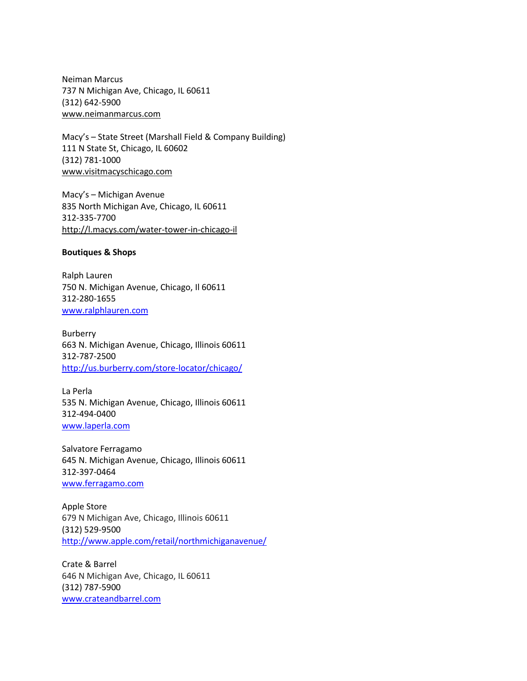Neiman Marcus 737 N Michigan Ave, Chicago, IL 60611 (312) 642-5900 [www.neimanmarcus.com](http://www.neimanmarcus.com/)

Macy's – State Street (Marshall Field & Company Building) 111 N State St, Chicago, IL 60602 (312) 781-1000 [www.visitmacyschicago.com](http://www.visitmacyschicago.com/)

Macy's – Michigan Avenue 835 North Michigan Ave, Chicago, IL 60611 312-335-7700 <http://l.macys.com/water-tower-in-chicago-il>

## **Boutiques & Shops**

Ralph Lauren 750 N. Michigan Avenue, Chicago, Il 60611 312-280-1655 [www.ralphlauren.com](http://www.ralphlauren.com/)

Burberry 663 N. Michigan Avenue, Chicago, Illinois 60611 312-787-2500 <http://us.burberry.com/store-locator/chicago/>

La Perla 535 N. Michigan Avenue, Chicago, Illinois 60611 312-494-0400 [www.laperla.com](http://www.laperla.com/)

Salvatore Ferragamo 645 N. Michigan Avenue, Chicago, Illinois 60611 312-397-0464 [www.ferragamo.com](http://www.ferragamo.com/)

Apple Store 679 N Michigan Ave, Chicago, Illinois 60611 (312) 529-9500 <http://www.apple.com/retail/northmichiganavenue/>

Crate & Barrel 646 N Michigan Ave, Chicago, IL 60611 (312) 787-5900 [www.crateandbarrel.com](http://www.crateandbarrel.com/)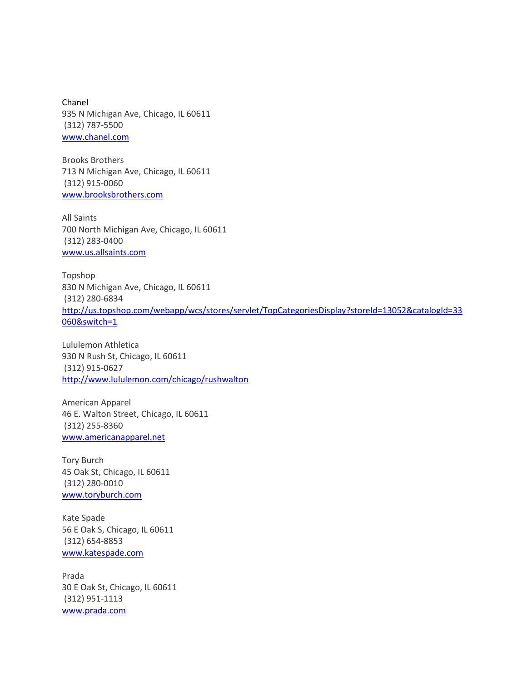Chanel 935 N Michigan Ave, Chicago, IL 60611 (312) 787-5500 [www.chanel.com](http://www.chanel.com/)

Brooks Brothers 713 N Michigan Ave, Chicago, IL 60611 (312) 915-0060 [www.brooksbrothers.com](http://www.brooksbrothers.com/)

All Saints 700 North Michigan Ave, Chicago, IL 60611 (312) 283-0400 [www.us.allsaints.com](http://www.us.allsaints.com/)

Topshop 830 N Michigan Ave, Chicago, IL 60611 (312) 280-6834 [http://us.topshop.com/webapp/wcs/stores/servlet/TopCategoriesDisplay?storeId=13052&catalogId=33](http://us.topshop.com/webapp/wcs/stores/servlet/TopCategoriesDisplay?storeId=13052&catalogId=33060&switch=1) [060&switch=1](http://us.topshop.com/webapp/wcs/stores/servlet/TopCategoriesDisplay?storeId=13052&catalogId=33060&switch=1)

Lululemon Athletica 930 N Rush St, Chicago, IL 60611 (312) 915-0627 <http://www.lululemon.com/chicago/rushwalton>

American Apparel 46 E. Walton Street, Chicago, IL 60611 (312) 255-8360 [www.americanapparel.net](http://www.americanapparel.net/)

Tory Burch 45 Oak St, Chicago, IL 60611 (312) 280-0010 [www.toryburch.com](http://www.toryburch.com/)

Kate Spade 56 E Oak S, Chicago, IL 60611 (312) 654-8853 [www.katespade.com](http://www.katespade.com/)

Prada 30 E Oak St, Chicago, IL 60611 (312) 951-1113 [www.prada.com](http://www.prada.com/)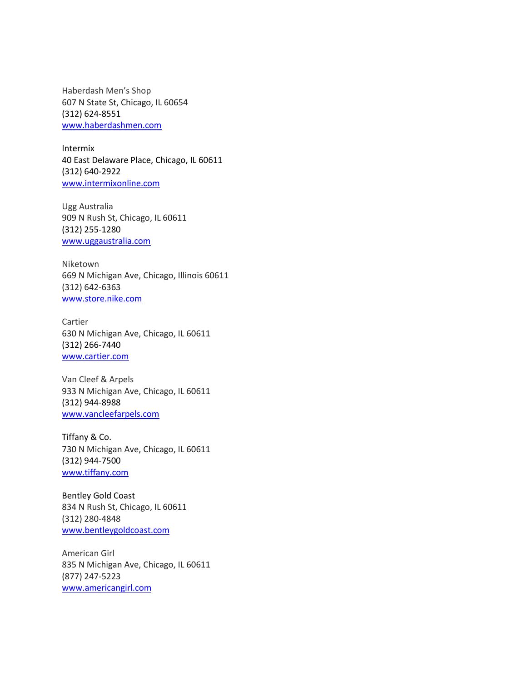Haberdash Men's Shop 607 N State St, Chicago, IL 60654 (312) 624-8551 [www.haberdashmen.com](http://www.haberdashmen.com/)

Intermix 40 East Delaware Place, Chicago, IL 60611 (312) 640-2922 [www.intermixonline.com](http://www.intermixshoponline.com/)

Ugg Australia 909 N Rush St, Chicago, IL 60611 (312) 255-1280 [www.uggaustralia.com](http://www.uggaustralia.com/)

Niketown 669 N Michigan Ave, Chicago, Illinois 60611 (312) 642-6363 [www.store.nike.com](http://www.store.nike.com/)

Cartier 630 N Michigan Ave, Chicago, IL 60611 (312) 266-7440 [www.cartier.com](http://www.cartier.com/)

Van Cleef & Arpels 933 N Michigan Ave, Chicago, IL 60611 (312) 944-8988 [www.vancleefarpels.com](http://www.vancleefarpels.com/)

Tiffany & Co. 730 N Michigan Ave, Chicago, IL 60611 (312) 944-7500 [www.tiffany.com](http://www.tiffany.com/)

Bentley Gold Coast 834 N Rush St, Chicago, IL 60611 (312) 280-4848 [www.bentleygoldcoast.com](http://www.bentleygoldcoast.com/)

American Girl 835 N Michigan Ave, Chicago, IL 60611 (877) 247-5223 [www.americangirl.com](http://www.americangirl.com/)